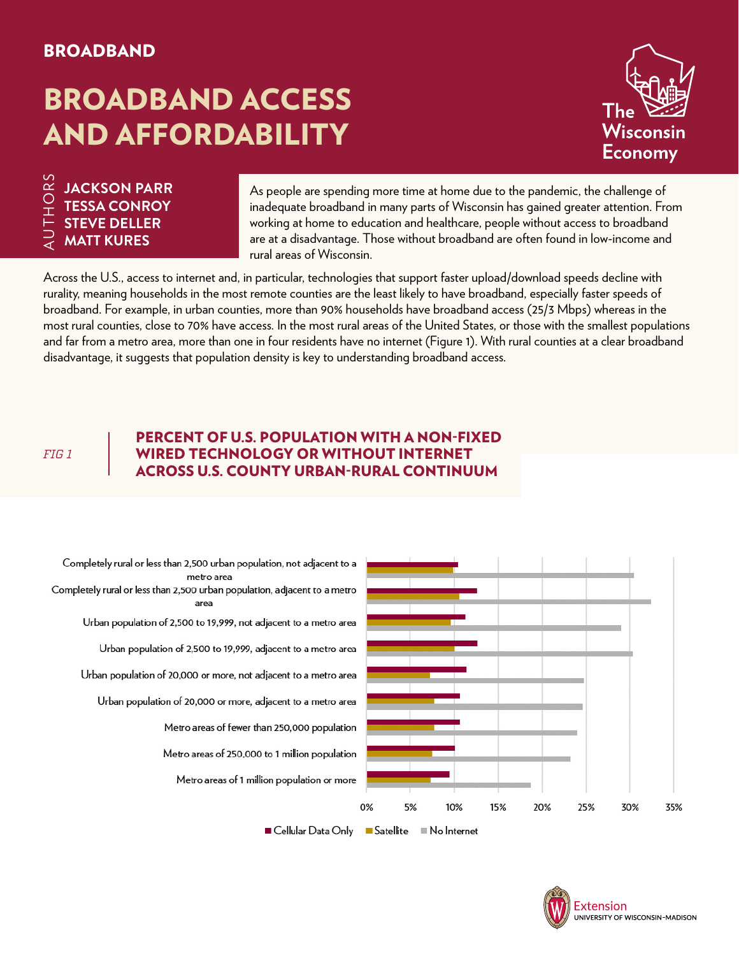### BROADBAND

# BROADBAND ACCESS AND AFFORDABILITY



## $\begin{array}{l} \stackrel{\sim}{\cong} \ {\Xi} \ {\Xi} \end{array}$  TESSA CONROY<br> $\begin{array}{l} \vdash \end{array}$  STEVE DELLER **TESSA CONROY STEVE DELLER MATT KURES**

As people are spending more time at home due to the pandemic, the challenge of inadequate broadband in many parts of Wisconsin has gained greater attention. From working at home to education and healthcare, people without access to broadband are at a disadvantage. Those without broadband are often found in low-income and rural areas of Wisconsin.

Across the U.S., access to internet and, in particular, technologies that support faster upload/download speeds decline with rurality, meaning households in the most remote counties are the least likely to have broadband, especially faster speeds of broadband. For example, in urban counties, more than 90% households have broadband access (25/3 Mbps) whereas in the most rural counties, close to 70% have access. In the most rural areas of the United States, or those with the smallest populations and far from a metro area, more than one in four residents have no internet (Figure 1). With rural counties at a clear broadband disadvantage, it suggests that population density is key to understanding broadband access.

*FIG 1*

#### PERCENT OF U.S. POPULATION WITH A NON-FIXED WIRED TECHNOLOGY OR WITHOUT INTERNET ACROSS U.S. COUNTY URBAN-RURAL CONTINUUM



Cellular Data Only Gatellite ■ No Internet